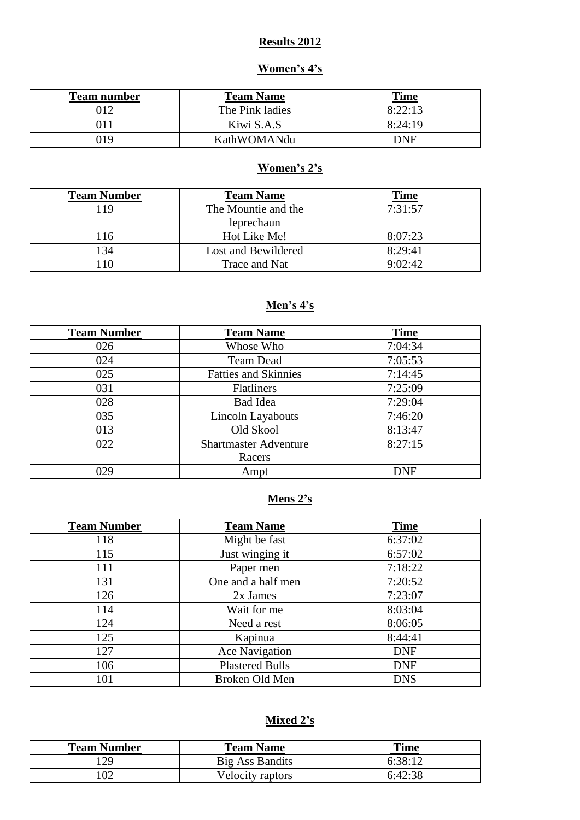### **Results 2012**

# **Women's 4's**

| <b>Team number</b> | <b>Team Name</b> | <b>Time</b> |
|--------------------|------------------|-------------|
| )12                | The Pink ladies  | 8:22:13     |
|                    | Kiwi S.A.S       | 8:24:19     |
| 019                | KathWOMANdu      | DNF         |

### **Women's 2's**

| <b>Team Number</b> | <b>Team Name</b>    | Time    |
|--------------------|---------------------|---------|
| 119                | The Mountie and the | 7:31:57 |
|                    | leprechaun          |         |
| 116                | Hot Like Me!        | 8:07:23 |
| 134                | Lost and Bewildered | 8:29:41 |
| 10                 | Trace and Nat       | 9:02:42 |

### **Men's 4's**

| <b>Team Number</b> | <b>Team Name</b>             | <b>Time</b> |
|--------------------|------------------------------|-------------|
| 026                | Whose Who                    | 7:04:34     |
| 024                | <b>Team Dead</b>             | 7:05:53     |
| 025                | <b>Fatties and Skinnies</b>  | 7:14:45     |
| 031                | <b>Flatliners</b>            | 7:25:09     |
| 028                | Bad Idea                     | 7:29:04     |
| 035                | Lincoln Layabouts            | 7:46:20     |
| 013                | Old Skool                    | 8:13:47     |
| 022                | <b>Shartmaster Adventure</b> | 8:27:15     |
|                    | Racers                       |             |
| 029                | Ampt                         | <b>DNF</b>  |

## **Mens 2's**

| <b>Team Number</b> | <b>Team Name</b>       | <b>Time</b> |
|--------------------|------------------------|-------------|
| 118                | Might be fast          | 6:37:02     |
| 115                | Just winging it        | 6:57:02     |
| 111                | Paper men              | 7:18:22     |
| 131                | One and a half men     | 7:20:52     |
| 126                | 2x James               | 7:23:07     |
| 114                | Wait for me            | 8:03:04     |
| 124                | Need a rest            | 8:06:05     |
| 125                | Kapinua                | 8:44:41     |
| 127                | <b>Ace Navigation</b>  | <b>DNF</b>  |
| 106                | <b>Plastered Bulls</b> | <b>DNF</b>  |
| 101                | Broken Old Men         | <b>DNS</b>  |

### **Mixed 2's**

| <b>Team Number</b> | <b>Team Name</b> | <b>Time</b> |
|--------------------|------------------|-------------|
| 29                 | Big Ass Bandits  | 6:38:12     |
| 02                 | Velocity raptors | 6:42:38     |